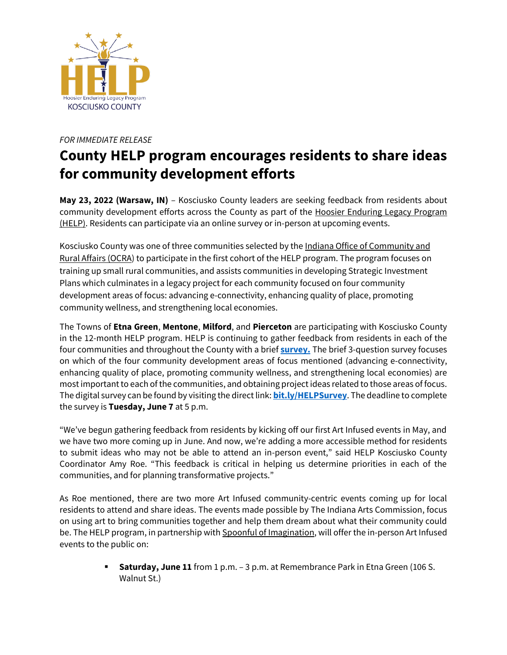

## *FOR IMMEDIATE RELEASE*

## **County HELP program encourages residents to share ideas for community development efforts**

**May 23, 2022 (Warsaw, IN)** – Kosciusko County leaders are seeking feedback from residents about community development efforts across the County as part of the Hoosier Enduring Legacy Program [\(HELP\).](https://www.in.gov/ocra/HELP/) Residents can participate via an online survey or in-person at upcoming events.

Kosciusko County was one of three communities selected by th[e Indiana Office of Community and](https://www.in.gov/ocra/)  [Rural Affairs \(OCRA\)](https://www.in.gov/ocra/) to participate in the first cohort of the HELP program. The program focuses on training up small rural communities, and assists communities in developing Strategic Investment Plans which culminates in a legacy project for each community focused on four community development areas of focus: advancing e-connectivity, enhancing quality of place, promoting community wellness, and strengthening local economies.

The Towns of **Etna Green**, **Mentone**, **Milford**, and **Pierceton** are participating with Kosciusko County in the 12-month HELP program. HELP is continuing to gather feedback from residents in each of the four communities and throughout the County with a brief **[survey.](https://bit.ly/HELPSurvey)** The brief 3-question survey focuses on which of the four community development areas of focus mentioned (advancing e-connectivity, enhancing quality of place, promoting community wellness, and strengthening local economies) are most important to each of the communities, and obtaining project ideas related to those areas of focus. The digital survey can be found by visiting the direct link: **[bit.ly/HELPSurvey](https://bit.ly/HELPSurvey)**. The deadline to complete the survey is **Tuesday, June 7** at 5 p.m.

"We've begun gathering feedback from residents by kicking off our first Art Infused events in May, and we have two more coming up in June. And now, we're adding a more accessible method for residents to submit ideas who may not be able to attend an in-person event," said HELP Kosciusko County Coordinator Amy Roe. "This feedback is critical in helping us determine priorities in each of the communities, and for planning transformative projects."

As Roe mentioned, there are two more Art Infused community-centric events coming up for local residents to attend and share ideas. The events made possible by The Indiana Arts Commission, focus on using art to bring communities together and help them dream about what their community could be. The HELP program, in partnership wit[h Spoonful of Imagination,](https://spoonfulstudio.com/) will offer the in-person Art Infused events to the public on:

> ▪ **Saturday, June 11** from 1 p.m. – 3 p.m. at Remembrance Park in Etna Green (106 S. Walnut St.)